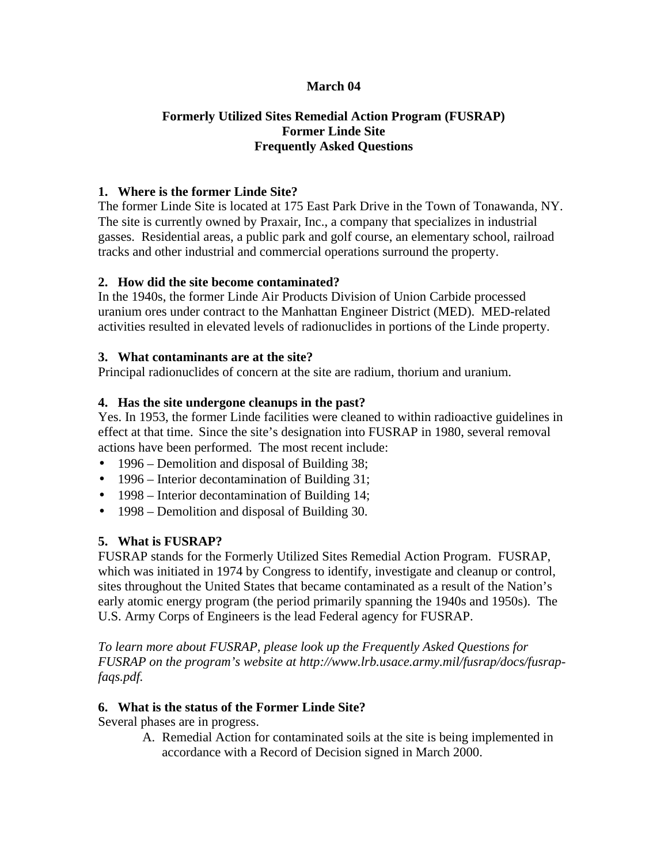#### **March 04**

### **Formerly Utilized Sites Remedial Action Program (FUSRAP) Former Linde Site Frequently Asked Questions**

#### **1. Where is the former Linde Site?**

The former Linde Site is located at 175 East Park Drive in the Town of Tonawanda, NY. The site is currently owned by Praxair, Inc., a company that specializes in industrial gasses. Residential areas, a public park and golf course, an elementary school, railroad tracks and other industrial and commercial operations surround the property.

### **2. How did the site become contaminated?**

In the 1940s, the former Linde Air Products Division of Union Carbide processed uranium ores under contract to the Manhattan Engineer District (MED). MED-related activities resulted in elevated levels of radionuclides in portions of the Linde property.

### **3. What contaminants are at the site?**

Principal radionuclides of concern at the site are radium, thorium and uranium.

### **4. Has the site undergone cleanups in the past?**

Yes. In 1953, the former Linde facilities were cleaned to within radioactive guidelines in effect at that time. Since the site's designation into FUSRAP in 1980, several removal actions have been performed. The most recent include:

- 1996 Demolition and disposal of Building 38;
- 1996 Interior decontamination of Building 31;
- 1998 Interior decontamination of Building 14;
- 1998 Demolition and disposal of Building 30.

# **5. What is FUSRAP?**

FUSRAP stands for the Formerly Utilized Sites Remedial Action Program. FUSRAP, which was initiated in 1974 by Congress to identify, investigate and cleanup or control, sites throughout the United States that became contaminated as a result of the Nation's early atomic energy program (the period primarily spanning the 1940s and 1950s). The U.S. Army Corps of Engineers is the lead Federal agency for FUSRAP.

*To learn more about FUSRAP, please look up the Frequently Asked Questions for FUSRAP on the program's website at http://www.lrb.usace.army.mil/fusrap/docs/fusrapfaqs.pdf.*

# **6. What is the status of the Former Linde Site?**

Several phases are in progress.

A. Remedial Action for contaminated soils at the site is being implemented in accordance with a Record of Decision signed in March 2000.